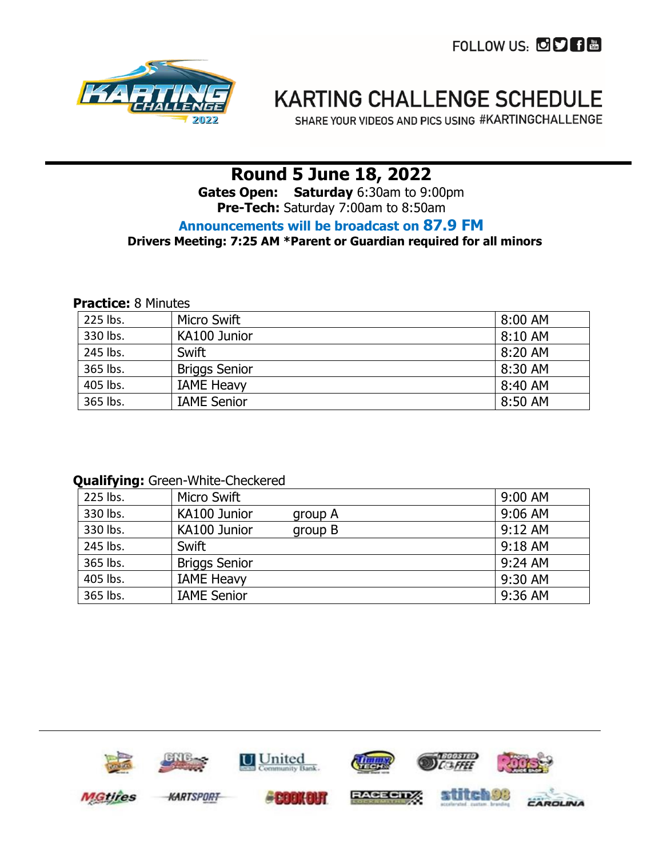FOLLOW US: **FOLLOW** 



# **KARTING CHALLENGE SCHEDULE**

SHARE YOUR VIDEOS AND PICS USING #KARTINGCHALLENGE

# **Round 5 June 18, 2022**

**Gates Open: Saturday** 6:30am to 9:00pm **Pre-Tech:** Saturday 7:00am to 8:50am

### **Announcements will be broadcast on 87.9 FM**

### **Drivers Meeting: 7:25 AM \*Parent or Guardian required for all minors**

#### **Practice:** 8 Minutes

| 225 lbs. | Micro Swift          | 8:00 AM   |
|----------|----------------------|-----------|
| 330 lbs. | KA100 Junior         | $8:10$ AM |
| 245 lbs. | Swift                | 8:20 AM   |
| 365 lbs. | <b>Briggs Senior</b> | 8:30 AM   |
| 405 lbs. | <b>IAME Heavy</b>    | 8:40 AM   |
| 365 lbs. | <b>IAME Senior</b>   | 8:50 AM   |

#### **Qualifying:** Green-White-Checkered

| 225 lbs. | Micro Swift             | 9:00 AM   |
|----------|-------------------------|-----------|
| 330 lbs. | KA100 Junior<br>group A | $9:06$ AM |
| 330 lbs. | KA100 Junior<br>group B | $9:12$ AM |
| 245 lbs. | Swift                   | $9:18$ AM |
| 365 lbs. | <b>Briggs Senior</b>    | $9:24$ AM |
| 405 lbs. | <b>IAME Heavy</b>       | 9:30 AM   |
| 365 lbs. | <b>IAME Senior</b>      | 9:36 AM   |

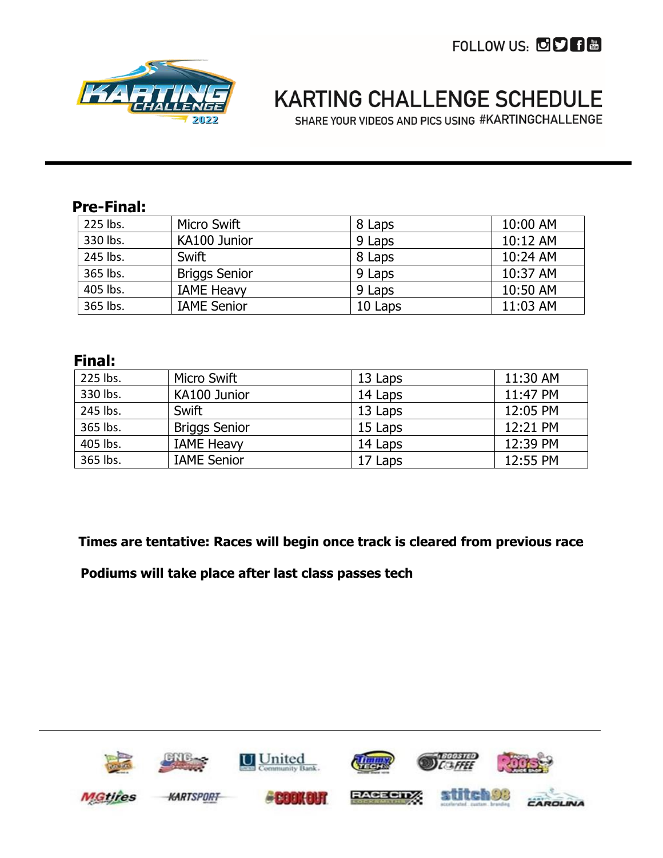FOLLOW US: CD B



# **KARTING CHALLENGE SCHEDULE**

SHARE YOUR VIDEOS AND PICS USING #KARTINGCHALLENGE

# **Pre-Final:**

| 225 lbs. | Micro Swift          | 8 Laps  | 10:00 AM |
|----------|----------------------|---------|----------|
| 330 lbs. | KA100 Junior         | 9 Laps  | 10:12 AM |
| 245 lbs. | Swift                | 8 Laps  | 10:24 AM |
| 365 lbs. | <b>Briggs Senior</b> | 9 Laps  | 10:37 AM |
| 405 lbs. | <b>IAME Heavy</b>    | 9 Laps  | 10:50 AM |
| 365 lbs. | <b>IAME Senior</b>   | 10 Laps | 11:03 AM |

## **Final:**

| 225 lbs. | Micro Swift          | 13 Laps | 11:30 AM |
|----------|----------------------|---------|----------|
| 330 lbs. | KA100 Junior         | 14 Laps | 11:47 PM |
| 245 lbs. | Swift                | 13 Laps | 12:05 PM |
| 365 lbs. | <b>Briggs Senior</b> | 15 Laps | 12:21 PM |
| 405 lbs. | <b>IAME Heavy</b>    | 14 Laps | 12:39 PM |
| 365 lbs. | <b>IAME Senior</b>   | 17 Laps | 12:55 PM |

**Times are tentative: Races will begin once track is cleared from previous race**

 **Podiums will take place after last class passes tech**

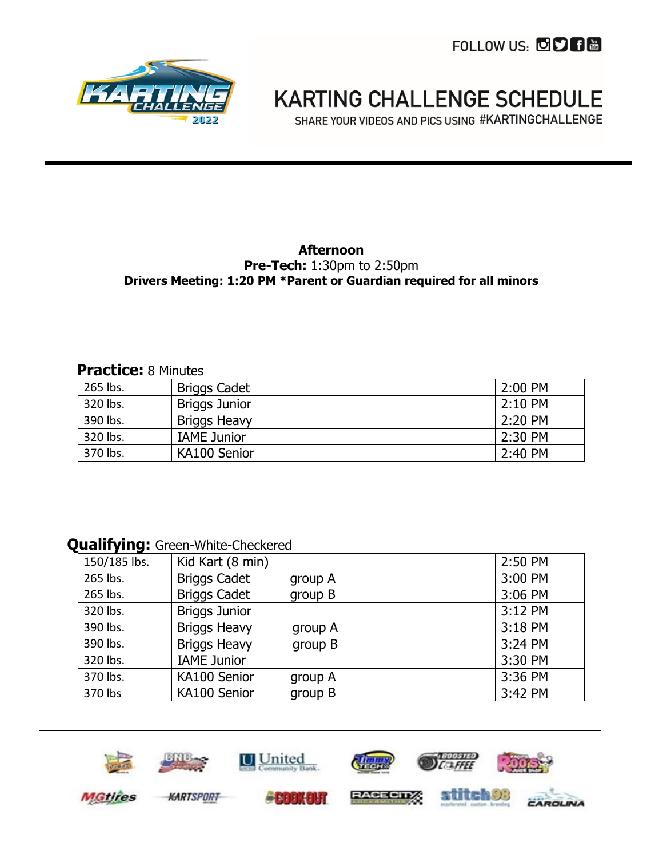FOLLOW US: OD 日岡



# **KARTING CHALLENGE SCHEDULE**

SHARE YOUR VIDEOS AND PICS USING #KARTINGCHALLENGE

### **Afternoon**

#### **Pre-Tech:** 1:30pm to 2:50pm **Drivers Meeting: 1:20 PM \*Parent or Guardian required for all minors**

### **Practice:** 8 Minutes

| 265 lbs. | Briggs Cadet         | 2:00 PM |
|----------|----------------------|---------|
| 320 lbs. | <b>Briggs Junior</b> | 2:10 PM |
| 390 lbs. | <b>Briggs Heavy</b>  | 2:20 PM |
| 320 lbs. | <b>IAME Junior</b>   | 2:30 PM |
| 370 lbs. | KA100 Senior         | 2:40 PM |

### **Qualifying:** Green-White-Checkered

| 150/185 lbs. | Kid Kart (8 min)     |         | 2:50 PM |
|--------------|----------------------|---------|---------|
| 265 lbs.     | <b>Briggs Cadet</b>  | group A | 3:00 PM |
| 265 lbs.     | <b>Briggs Cadet</b>  | group B | 3:06 PM |
| 320 lbs.     | <b>Briggs Junior</b> |         | 3:12 PM |
| 390 lbs.     | <b>Briggs Heavy</b>  | group A | 3:18 PM |
| 390 lbs.     | <b>Briggs Heavy</b>  | group B | 3:24 PM |
| 320 lbs.     | <b>IAME Junior</b>   |         | 3:30 PM |
| 370 lbs.     | KA100 Senior         | group A | 3:36 PM |
| 370 lbs      | KA100 Senior         | group B | 3:42 PM |